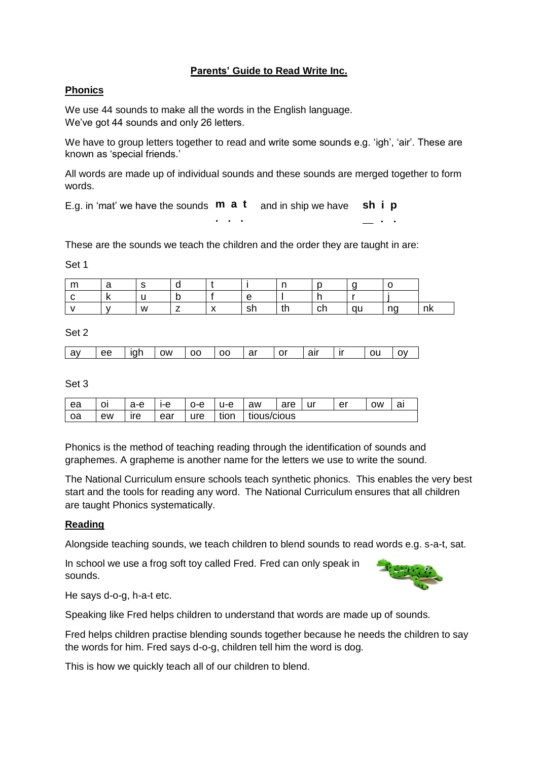### **Parents' Guide to Read Write Inc.**

# **Phonics**

We use 44 sounds to make all the words in the English language. We've got 44 sounds and only 26 letters.

We have to group letters together to read and write some sounds e.g. 'igh', 'air'. These are known as 'special friends.'

All words are made up of individual sounds and these sounds are merged together to form words.

E.g. in 'mat' we have the sounds  $\mathbf{m}$  **a t** and in ship we have **. . . sh i p \_\_ . .**

These are the sounds we teach the children and the order they are taught in are:

Set 1

| r<br>. | ີ   |   |   |                                       |         | ÷          |         |       |    |
|--------|-----|---|---|---------------------------------------|---------|------------|---------|-------|----|
|        | . . |   | È |                                       |         |            |         |       |    |
|        |     | W |   | $\lambda$<br>$\overline{\phantom{a}}$ | ΩK<br>ິ | 4 L<br>. . | \<br>יי | - 194 | nk |

#### Set 2

| av | l ee | lah | <b>OW</b> | l 00 | <b>OO</b> | ⊥ar | l or | air a | ı ır | ou |  |
|----|------|-----|-----------|------|-----------|-----|------|-------|------|----|--|
|    |      |     |           |      |           |     |      |       |      |    |  |

Set 3

| ea | οι | a-e | ۱-۵<br>ັບ | ი-е | ' І-е ∶ | aw          | are | ur | er | ow | aı |
|----|----|-----|-----------|-----|---------|-------------|-----|----|----|----|----|
| oa | ew | ıre | ear       | ure | tion    | tious/cious |     |    |    |    |    |

Phonics is the method of teaching reading through the identification of sounds and graphemes. A grapheme is another name for the letters we use to write the sound.

The National Curriculum ensure schools teach synthetic phonics. This enables the very best start and the tools for reading any word. The National Curriculum ensures that all children are taught Phonics systematically.

### **Reading**

Alongside teaching sounds, we teach children to blend sounds to read words e.g. s-a-t, sat.

In school we use a frog soft toy called Fred. Fred can only speak in sounds.



He says d-o-g, h-a-t etc.

Speaking like Fred helps children to understand that words are made up of sounds.

Fred helps children practise blending sounds together because he needs the children to say the words for him. Fred says d-o-g, children tell him the word is dog.

This is how we quickly teach all of our children to blend.